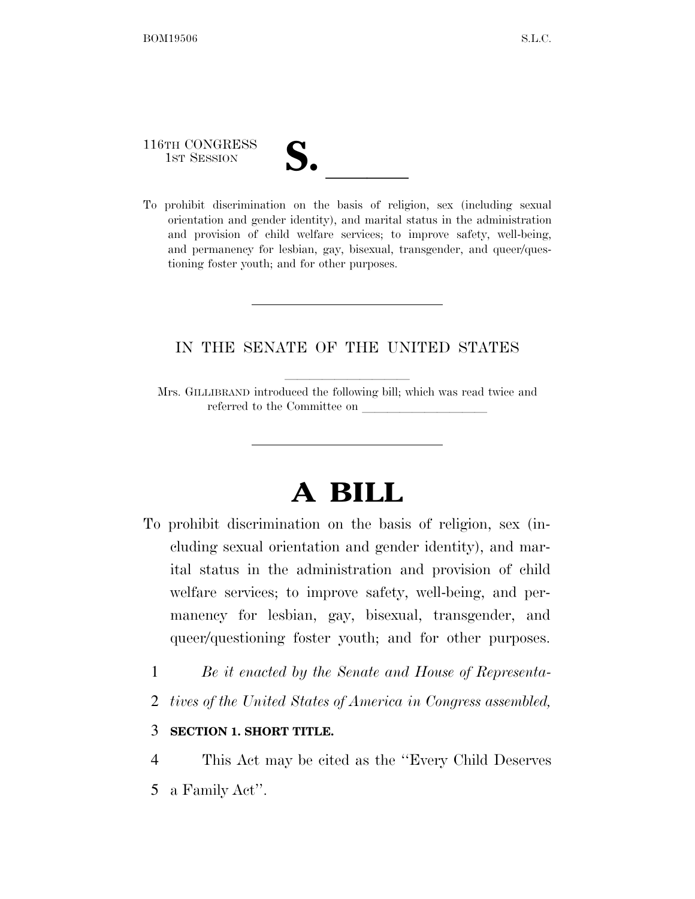116TH CONGRESS

116TH CONGRESS<br>
1ST SESSION<br>
To prohibit discrimination on the basis of religion, sex (including sexual orientation and gender identity), and marital status in the administration and provision of child welfare services; to improve safety, well-being, and permanency for lesbian, gay, bisexual, transgender, and queer/questioning foster youth; and for other purposes.

## IN THE SENATE OF THE UNITED STATES

Mrs. GILLIBRAND introduced the following bill; which was read twice and referred to the Committee on

# **A BILL**

- To prohibit discrimination on the basis of religion, sex (including sexual orientation and gender identity), and marital status in the administration and provision of child welfare services; to improve safety, well-being, and permanency for lesbian, gay, bisexual, transgender, and queer/questioning foster youth; and for other purposes.
	- 1 *Be it enacted by the Senate and House of Representa-*
	- 2 *tives of the United States of America in Congress assembled,*

### 3 **SECTION 1. SHORT TITLE.**

4 This Act may be cited as the ''Every Child Deserves 5 a Family Act''.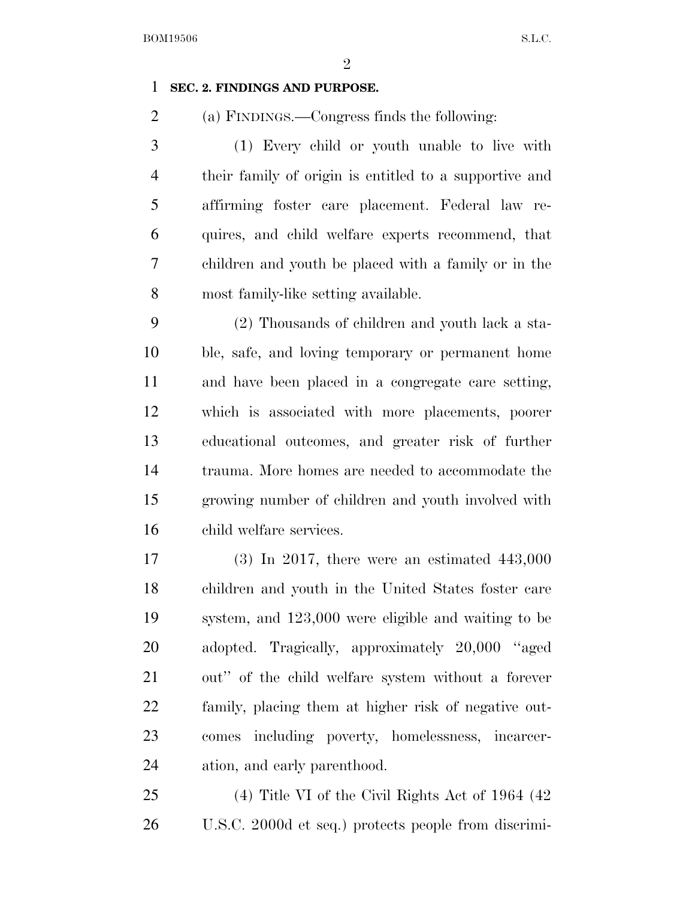$\mathfrak{D}$ 

### **SEC. 2. FINDINGS AND PURPOSE.**

(a) FINDINGS.—Congress finds the following:

 (1) Every child or youth unable to live with their family of origin is entitled to a supportive and affirming foster care placement. Federal law re- quires, and child welfare experts recommend, that children and youth be placed with a family or in the most family-like setting available.

 (2) Thousands of children and youth lack a sta- ble, safe, and loving temporary or permanent home and have been placed in a congregate care setting, which is associated with more placements, poorer educational outcomes, and greater risk of further trauma. More homes are needed to accommodate the growing number of children and youth involved with child welfare services.

 (3) In 2017, there were an estimated 443,000 children and youth in the United States foster care system, and 123,000 were eligible and waiting to be adopted. Tragically, approximately 20,000 ''aged out'' of the child welfare system without a forever family, placing them at higher risk of negative out- comes including poverty, homelessness, incarcer-ation, and early parenthood.

 (4) Title VI of the Civil Rights Act of 1964 (42 U.S.C. 2000d et seq.) protects people from discrimi-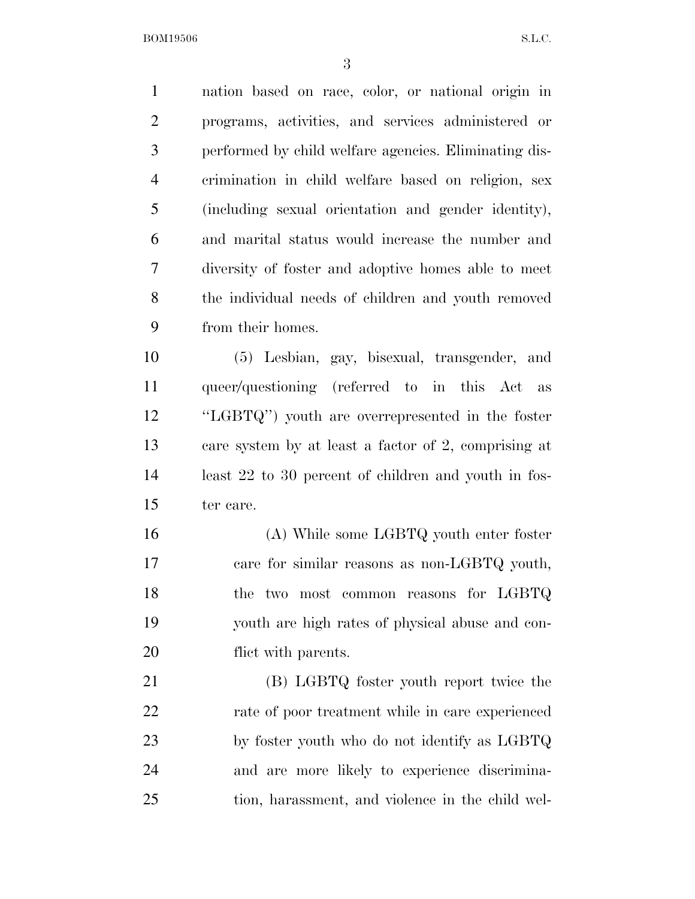nation based on race, color, or national origin in programs, activities, and services administered or performed by child welfare agencies. Eliminating dis- crimination in child welfare based on religion, sex (including sexual orientation and gender identity), and marital status would increase the number and diversity of foster and adoptive homes able to meet the individual needs of children and youth removed from their homes. (5) Lesbian, gay, bisexual, transgender, and

 queer/questioning (referred to in this Act as ''LGBTQ'') youth are overrepresented in the foster care system by at least a factor of 2, comprising at least 22 to 30 percent of children and youth in fos-ter care.

 (A) While some LGBTQ youth enter foster care for similar reasons as non-LGBTQ youth, 18 the two most common reasons for LGBTQ youth are high rates of physical abuse and con-20 flict with parents.

 (B) LGBTQ foster youth report twice the rate of poor treatment while in care experienced by foster youth who do not identify as LGBTQ and are more likely to experience discrimina-tion, harassment, and violence in the child wel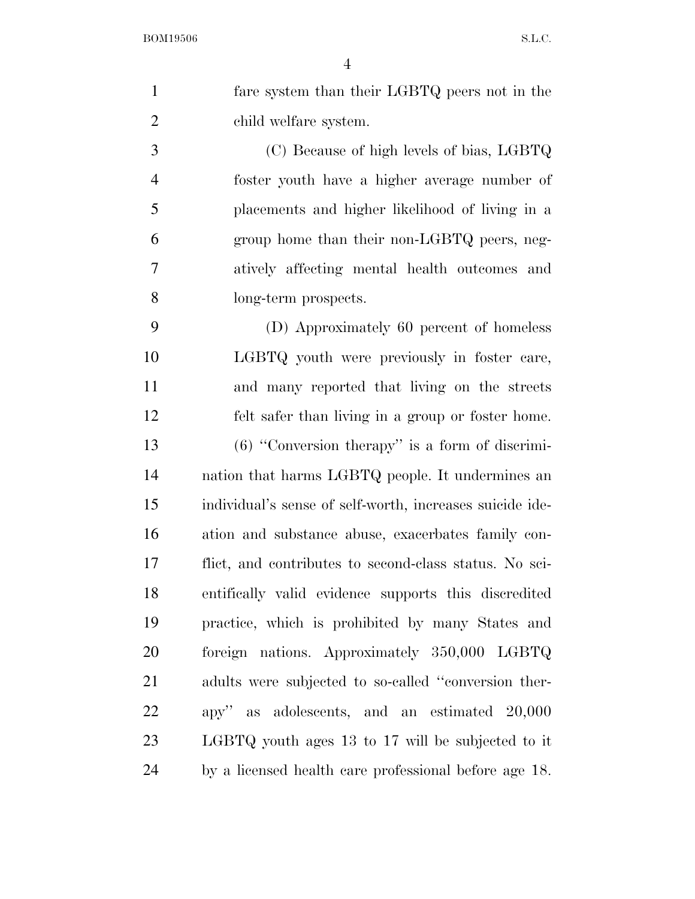fare system than their LGBTQ peers not in the child welfare system.

 (C) Because of high levels of bias, LGBTQ foster youth have a higher average number of placements and higher likelihood of living in a group home than their non-LGBTQ peers, neg- atively affecting mental health outcomes and long-term prospects.

 (D) Approximately 60 percent of homeless LGBTQ youth were previously in foster care, and many reported that living on the streets felt safer than living in a group or foster home. (6) ''Conversion therapy'' is a form of discrimi- nation that harms LGBTQ people. It undermines an individual's sense of self-worth, increases suicide ide- ation and substance abuse, exacerbates family con- flict, and contributes to second-class status. No sci- entifically valid evidence supports this discredited practice, which is prohibited by many States and foreign nations. Approximately 350,000 LGBTQ adults were subjected to so-called ''conversion ther- apy'' as adolescents, and an estimated 20,000 LGBTQ youth ages 13 to 17 will be subjected to it by a licensed health care professional before age 18.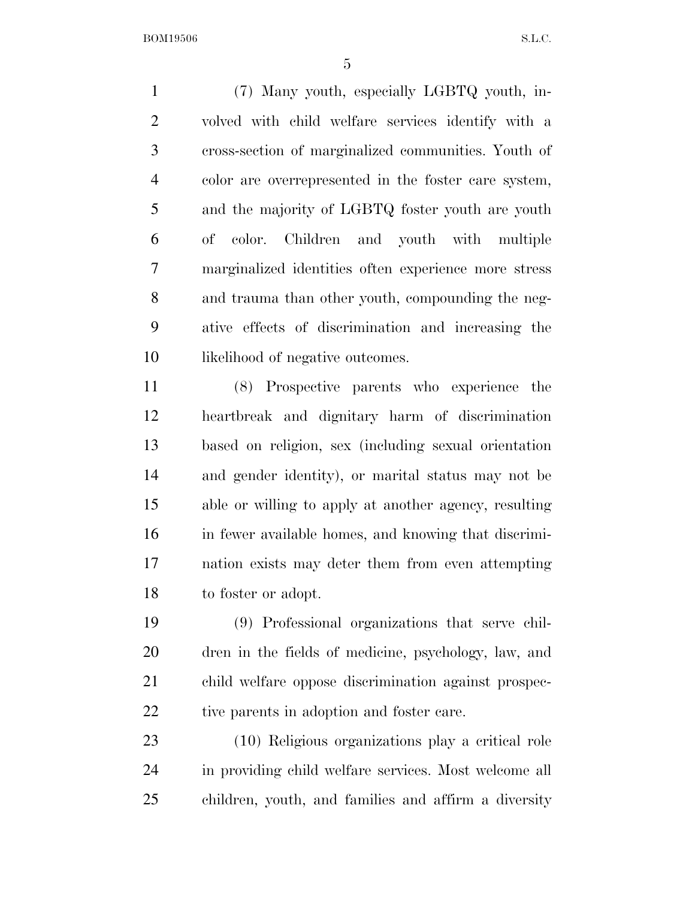(7) Many youth, especially LGBTQ youth, in- volved with child welfare services identify with a cross-section of marginalized communities. Youth of color are overrepresented in the foster care system, and the majority of LGBTQ foster youth are youth of color. Children and youth with multiple marginalized identities often experience more stress and trauma than other youth, compounding the neg- ative effects of discrimination and increasing the 10 likelihood of negative outcomes.

 (8) Prospective parents who experience the heartbreak and dignitary harm of discrimination based on religion, sex (including sexual orientation and gender identity), or marital status may not be able or willing to apply at another agency, resulting in fewer available homes, and knowing that discrimi- nation exists may deter them from even attempting to foster or adopt.

 (9) Professional organizations that serve chil- dren in the fields of medicine, psychology, law, and child welfare oppose discrimination against prospec-22 tive parents in adoption and foster care.

 (10) Religious organizations play a critical role in providing child welfare services. Most welcome all children, youth, and families and affirm a diversity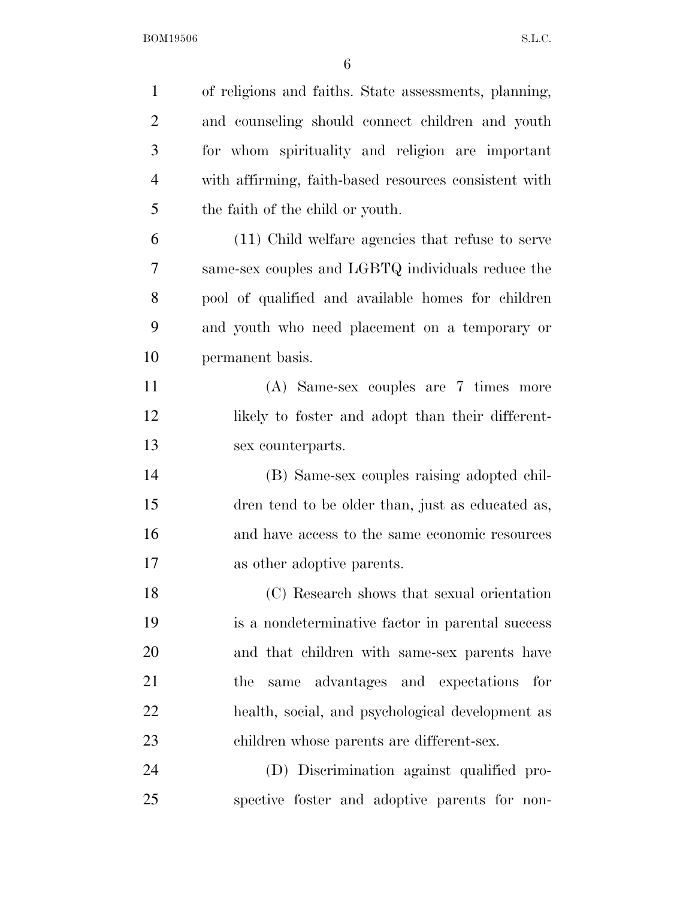| $\mathbf{1}$   | of religions and faiths. State assessments, planning, |
|----------------|-------------------------------------------------------|
| $\overline{2}$ | and counseling should connect children and youth      |
| 3              | for whom spirituality and religion are important      |
| $\overline{4}$ | with affirming, faith-based resources consistent with |
| 5              | the faith of the child or youth.                      |
| 6              | (11) Child welfare agencies that refuse to serve      |
| $\overline{7}$ | same-sex couples and LGBTQ individuals reduce the     |
| 8              | pool of qualified and available homes for children    |
| 9              | and youth who need placement on a temporary or        |
| 10             | permanent basis.                                      |
| 11             | (A) Same-sex couples are 7 times more                 |
| 12             | likely to foster and adopt than their different-      |
| 13             | sex counterparts.                                     |
| 14             | (B) Same-sex couples raising adopted chil-            |
| 15             | dren tend to be older than, just as educated as,      |
| 16             | and have access to the same economic resources        |
| 17             | as other adoptive parents.                            |
| 18             | $(C)$ Research shows that sexual orientation          |
| 19             | is a nondeterminative factor in parental success      |
| 20             | and that children with same-sex parents have          |
| 21             | same advantages and expectations<br>the<br>for        |
| 22             | health, social, and psychological development as      |
| 23             | children whose parents are different-sex.             |
| 24             | (D) Discrimination against qualified pro-             |
| 25             | spective foster and adoptive parents for non-         |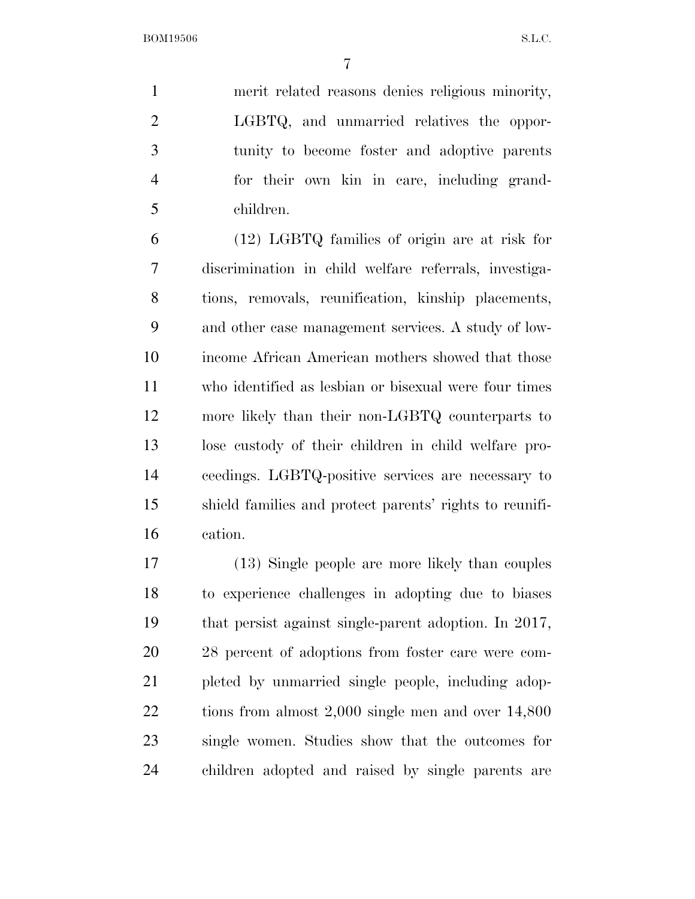merit related reasons denies religious minority, LGBTQ, and unmarried relatives the oppor- tunity to become foster and adoptive parents for their own kin in care, including grand-children.

 (12) LGBTQ families of origin are at risk for discrimination in child welfare referrals, investiga- tions, removals, reunification, kinship placements, and other case management services. A study of low- income African American mothers showed that those who identified as lesbian or bisexual were four times more likely than their non-LGBTQ counterparts to lose custody of their children in child welfare pro- ceedings. LGBTQ-positive services are necessary to shield families and protect parents' rights to reunifi-cation.

 (13) Single people are more likely than couples to experience challenges in adopting due to biases that persist against single-parent adoption. In 2017, 28 percent of adoptions from foster care were com- pleted by unmarried single people, including adop- tions from almost 2,000 single men and over 14,800 single women. Studies show that the outcomes for children adopted and raised by single parents are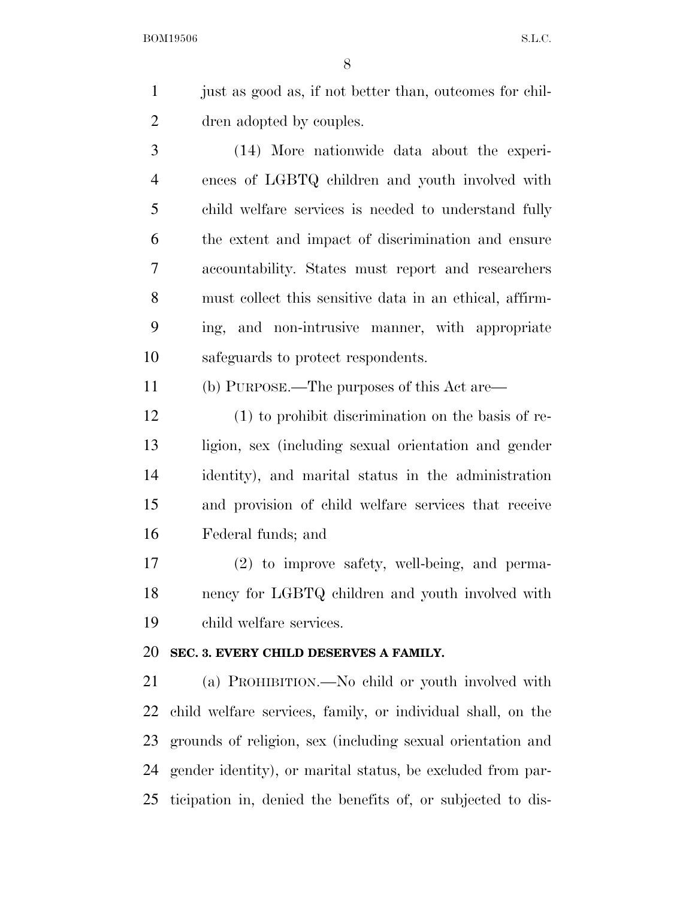just as good as, if not better than, outcomes for chil-dren adopted by couples.

 (14) More nationwide data about the experi- ences of LGBTQ children and youth involved with child welfare services is needed to understand fully the extent and impact of discrimination and ensure accountability. States must report and researchers must collect this sensitive data in an ethical, affirm- ing, and non-intrusive manner, with appropriate safeguards to protect respondents.

(b) PURPOSE.—The purposes of this Act are—

 (1) to prohibit discrimination on the basis of re- ligion, sex (including sexual orientation and gender identity), and marital status in the administration and provision of child welfare services that receive Federal funds; and

 (2) to improve safety, well-being, and perma- nency for LGBTQ children and youth involved with child welfare services.

#### **SEC. 3. EVERY CHILD DESERVES A FAMILY.**

 (a) PROHIBITION.—No child or youth involved with child welfare services, family, or individual shall, on the grounds of religion, sex (including sexual orientation and gender identity), or marital status, be excluded from par-ticipation in, denied the benefits of, or subjected to dis-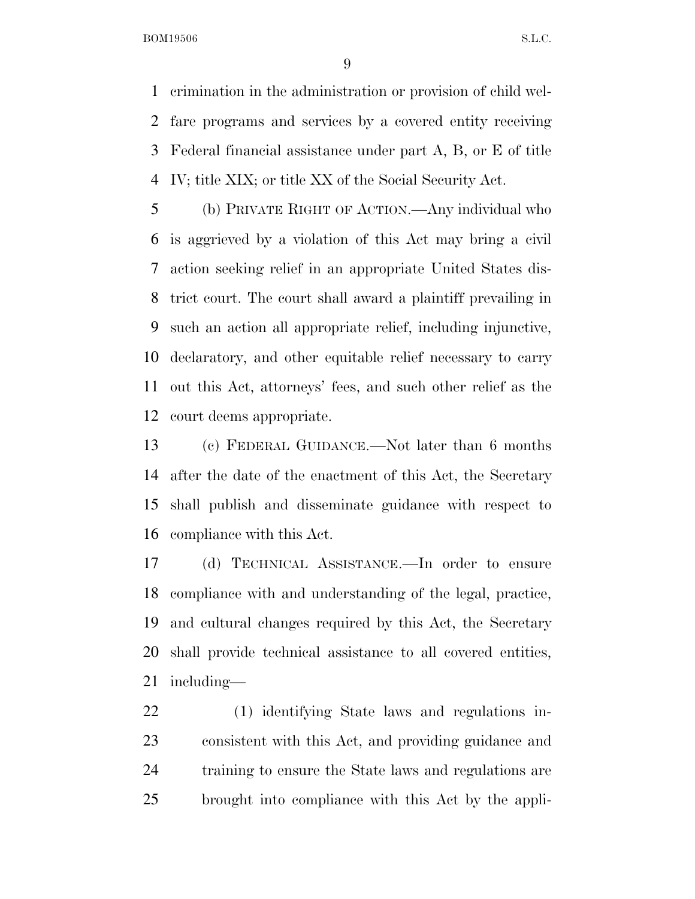crimination in the administration or provision of child wel- fare programs and services by a covered entity receiving Federal financial assistance under part A, B, or E of title IV; title XIX; or title XX of the Social Security Act.

 (b) PRIVATE RIGHT OF ACTION.—Any individual who is aggrieved by a violation of this Act may bring a civil action seeking relief in an appropriate United States dis- trict court. The court shall award a plaintiff prevailing in such an action all appropriate relief, including injunctive, declaratory, and other equitable relief necessary to carry out this Act, attorneys' fees, and such other relief as the court deems appropriate.

 (c) FEDERAL GUIDANCE.—Not later than 6 months after the date of the enactment of this Act, the Secretary shall publish and disseminate guidance with respect to compliance with this Act.

 (d) TECHNICAL ASSISTANCE.—In order to ensure compliance with and understanding of the legal, practice, and cultural changes required by this Act, the Secretary shall provide technical assistance to all covered entities, including—

 (1) identifying State laws and regulations in- consistent with this Act, and providing guidance and training to ensure the State laws and regulations are brought into compliance with this Act by the appli-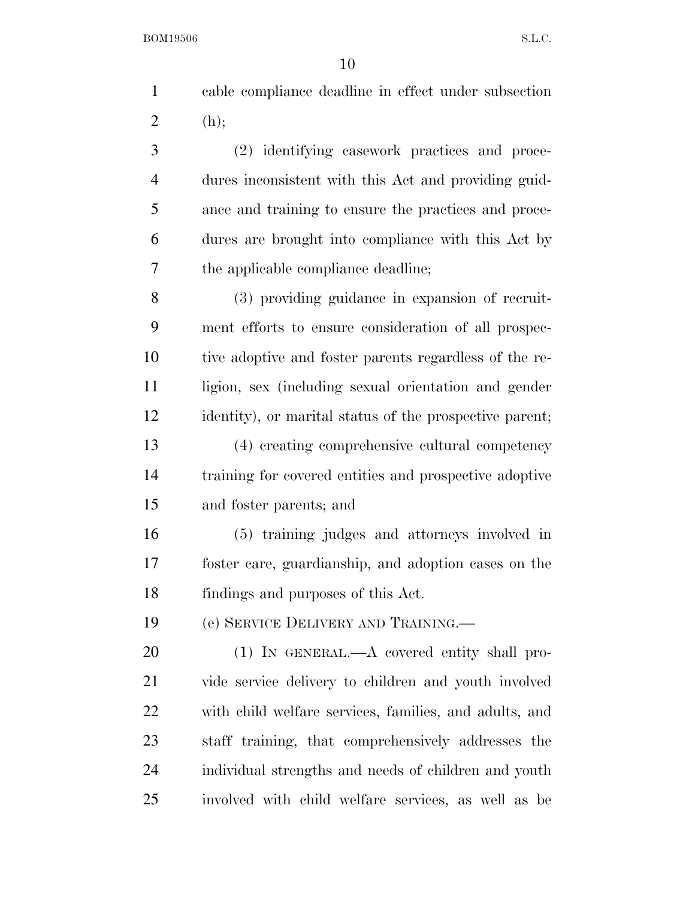|        | 1 cable compliance deadline in effect under subsection |
|--------|--------------------------------------------------------|
| 2 (h); |                                                        |

 (2) identifying casework practices and proce- dures inconsistent with this Act and providing guid- ance and training to ensure the practices and proce- dures are brought into compliance with this Act by the applicable compliance deadline;

 (3) providing guidance in expansion of recruit- ment efforts to ensure consideration of all prospec- tive adoptive and foster parents regardless of the re-11 ligion, sex (including sexual orientation and gender identity), or marital status of the prospective parent; (4) creating comprehensive cultural competency training for covered entities and prospective adoptive and foster parents; and

 (5) training judges and attorneys involved in foster care, guardianship, and adoption cases on the findings and purposes of this Act.

(e) SERVICE DELIVERY AND TRAINING.—

 (1) IN GENERAL.—A covered entity shall pro- vide service delivery to children and youth involved with child welfare services, families, and adults, and staff training, that comprehensively addresses the individual strengths and needs of children and youth involved with child welfare services, as well as be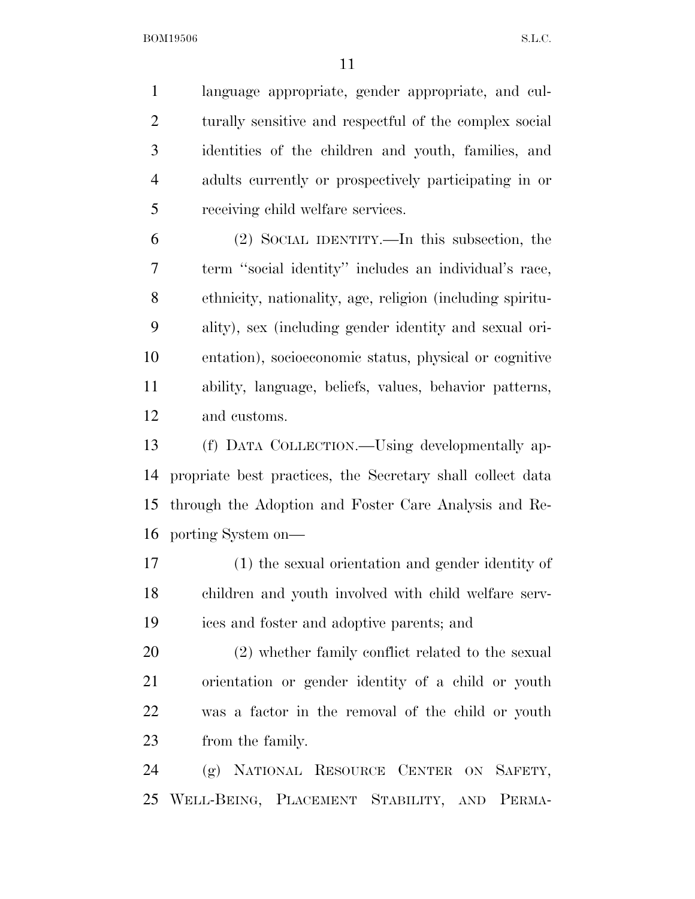language appropriate, gender appropriate, and cul-2 turally sensitive and respectful of the complex social identities of the children and youth, families, and adults currently or prospectively participating in or receiving child welfare services.

 (2) SOCIAL IDENTITY.—In this subsection, the term ''social identity'' includes an individual's race, ethnicity, nationality, age, religion (including spiritu- ality), sex (including gender identity and sexual ori- entation), socioeconomic status, physical or cognitive ability, language, beliefs, values, behavior patterns, and customs.

 (f) DATA COLLECTION.—Using developmentally ap- propriate best practices, the Secretary shall collect data through the Adoption and Foster Care Analysis and Re-porting System on—

 (1) the sexual orientation and gender identity of children and youth involved with child welfare serv-ices and foster and adoptive parents; and

 (2) whether family conflict related to the sexual orientation or gender identity of a child or youth was a factor in the removal of the child or youth from the family.

 (g) NATIONAL RESOURCE CENTER ON SAFETY, WELL-BEING, PLACEMENT STABILITY, AND PERMA-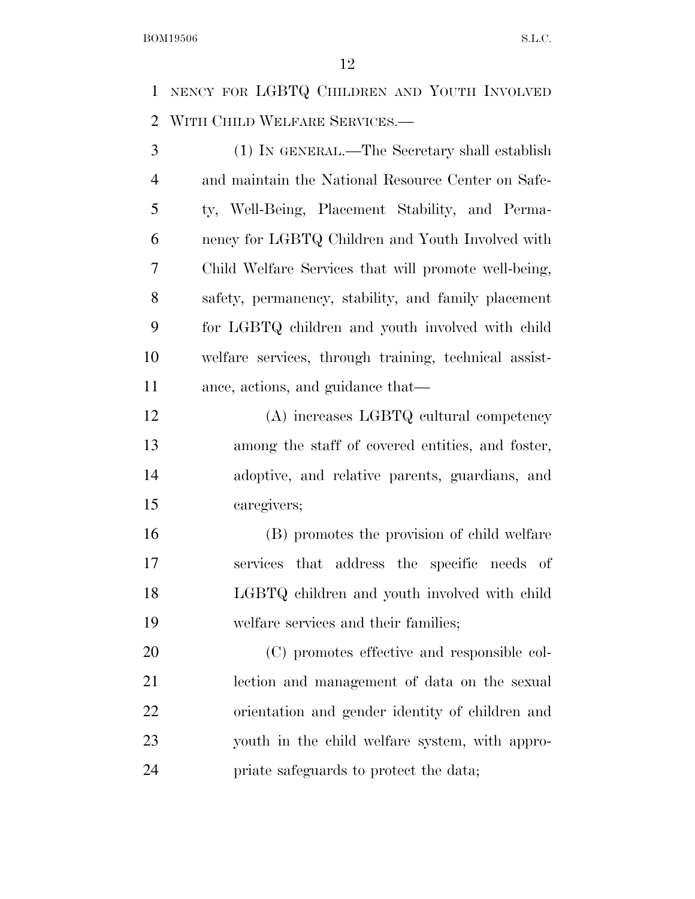NENCY FOR LGBTQ CHILDREN AND YOUTH INVOLVED WITH CHILD WELFARE SERVICES.—

 (1) IN GENERAL.—The Secretary shall establish and maintain the National Resource Center on Safe- ty, Well-Being, Placement Stability, and Perma- nency for LGBTQ Children and Youth Involved with Child Welfare Services that will promote well-being, safety, permanency, stability, and family placement for LGBTQ children and youth involved with child welfare services, through training, technical assist-ance, actions, and guidance that—

 (A) increases LGBTQ cultural competency among the staff of covered entities, and foster, adoptive, and relative parents, guardians, and caregivers;

 (B) promotes the provision of child welfare services that address the specific needs of LGBTQ children and youth involved with child welfare services and their families;

 (C) promotes effective and responsible col- lection and management of data on the sexual orientation and gender identity of children and youth in the child welfare system, with appro-priate safeguards to protect the data;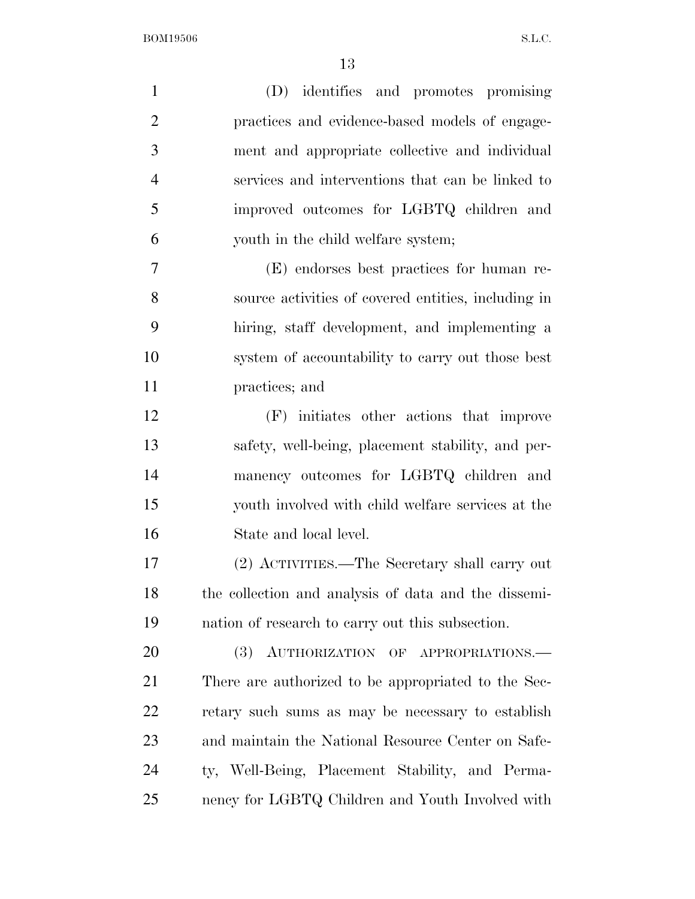| $\mathbf{1}$   | (D) identifies and promotes promising                |
|----------------|------------------------------------------------------|
| $\overline{2}$ | practices and evidence-based models of engage-       |
| 3              | ment and appropriate collective and individual       |
| $\overline{4}$ | services and interventions that can be linked to     |
| 5              | improved outcomes for LGBTQ children and             |
| 6              | youth in the child welfare system;                   |
| 7              | (E) endorses best practices for human re-            |
| 8              | source activities of covered entities, including in  |
| 9              | hiring, staff development, and implementing a        |
| 10             | system of accountability to carry out those best     |
| 11             | practices; and                                       |
| 12             | (F) initiates other actions that improve             |
| 13             | safety, well-being, placement stability, and per-    |
| 14             | manency outcomes for LGBTQ children and              |
| 15             | youth involved with child welfare services at the    |
| 16             | State and local level.                               |
| 17             | (2) ACTIVITIES.—The Secretary shall carry out        |
| 18             | the collection and analysis of data and the dissemi- |
| 19             | nation of research to carry out this subsection.     |
| 20             | (3) AUTHORIZATION OF APPROPRIATIONS.                 |
| 21             | There are authorized to be appropriated to the Sec-  |
| 22             | retary such sums as may be necessary to establish    |
| 23             | and maintain the National Resource Center on Safe-   |
| 24             | ty, Well-Being, Placement Stability, and Perma-      |
| 25             | nency for LGBTQ Children and Youth Involved with     |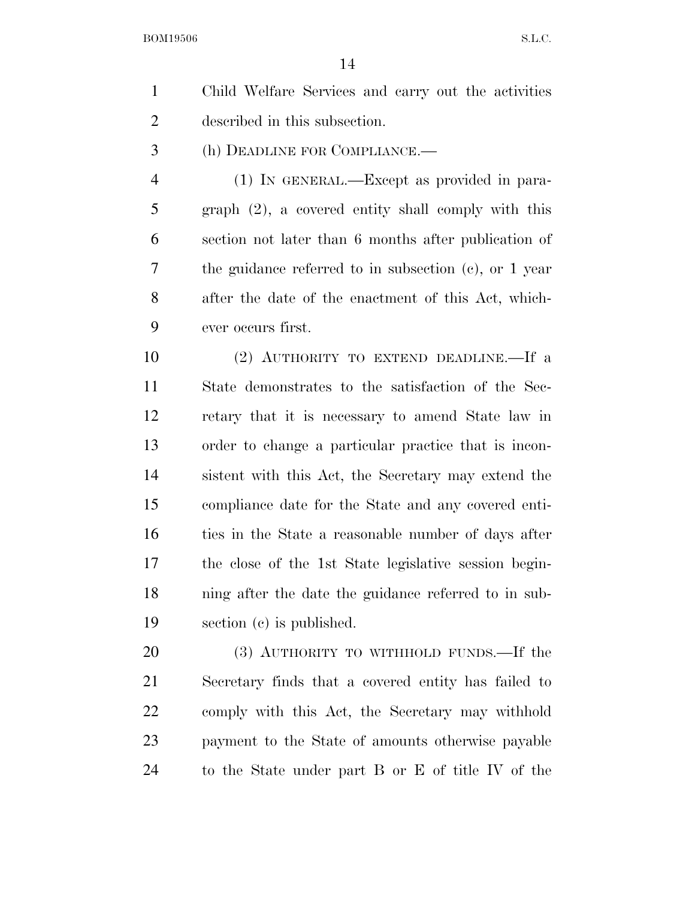| Child Welfare Services and carry out the activities |
|-----------------------------------------------------|
| described in this subsection.                       |

(h) DEADLINE FOR COMPLIANCE.—

 (1) IN GENERAL.—Except as provided in para- graph (2), a covered entity shall comply with this section not later than 6 months after publication of the guidance referred to in subsection (c), or 1 year after the date of the enactment of this Act, which-ever occurs first.

 (2) AUTHORITY TO EXTEND DEADLINE.—If a State demonstrates to the satisfaction of the Sec- retary that it is necessary to amend State law in order to change a particular practice that is incon- sistent with this Act, the Secretary may extend the compliance date for the State and any covered enti- ties in the State a reasonable number of days after the close of the 1st State legislative session begin- ning after the date the guidance referred to in sub-section (c) is published.

20 (3) AUTHORITY TO WITHHOLD FUNDS.—If the Secretary finds that a covered entity has failed to comply with this Act, the Secretary may withhold payment to the State of amounts otherwise payable to the State under part B or E of title IV of the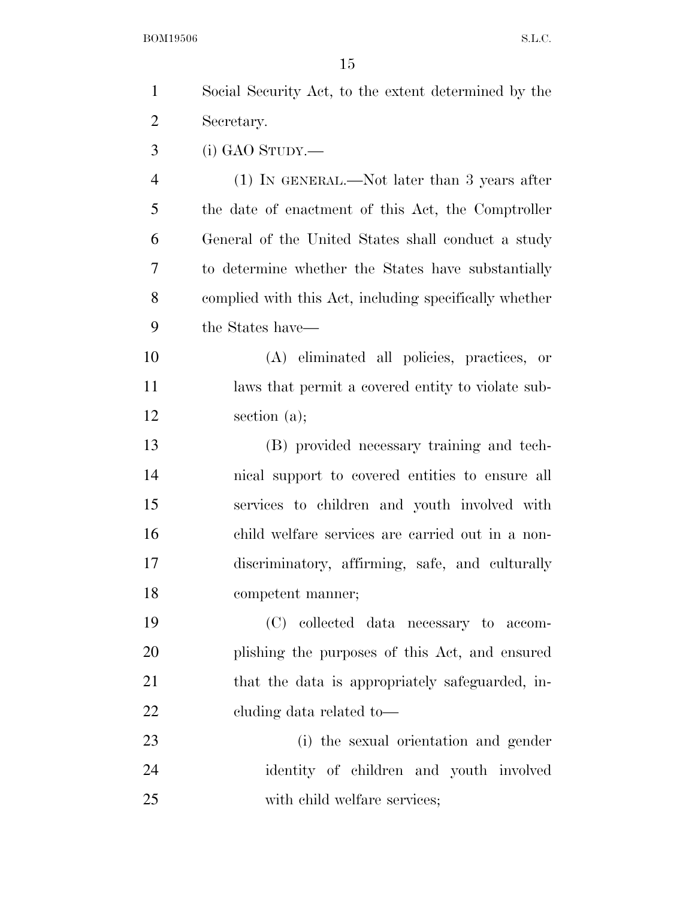| $\mathbf{1}$   | Social Security Act, to the extent determined by the   |
|----------------|--------------------------------------------------------|
| $\overline{2}$ | Secretary.                                             |
| 3              | $(i)$ GAO STUDY.—                                      |
| $\overline{4}$ | $(1)$ IN GENERAL.—Not later than 3 years after         |
| 5              | the date of enactment of this Act, the Comptroller     |
| 6              | General of the United States shall conduct a study     |
| 7              | to determine whether the States have substantially     |
| 8              | complied with this Act, including specifically whether |
| 9              | the States have—                                       |
| 10             | (A) eliminated all policies, practices, or             |
| 11             | laws that permit a covered entity to violate sub-      |
| 12             | section $(a)$ ;                                        |
| 13             | (B) provided necessary training and tech-              |
| 14             | nical support to covered entities to ensure all        |
| 15             | services to children and youth involved with           |
| 16             | child welfare services are carried out in a non-       |
| 17             | discriminatory, affirming, safe, and culturally        |
| 18             | competent manner;                                      |
| 19             | (C) collected data necessary to accom-                 |
| <b>20</b>      | plishing the purposes of this Act, and ensured         |
| 21             | that the data is appropriately safeguarded, in-        |
| 22             | cluding data related to-                               |
| 23             | (i) the sexual orientation and gender                  |
| 24             | identity of children and youth involved                |
| 25             | with child welfare services;                           |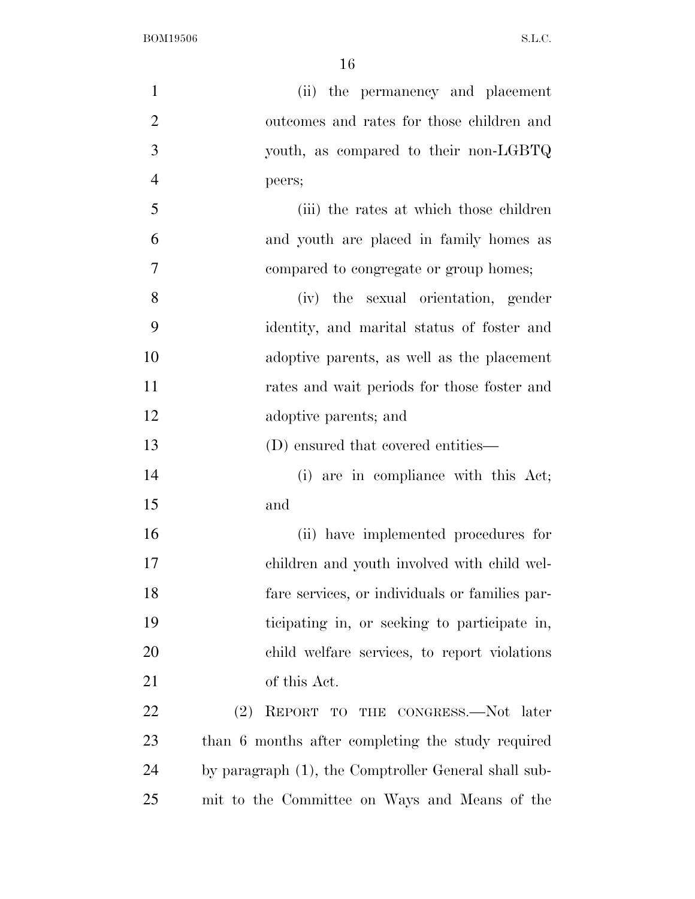$\textbf{BOM19506} \qquad \qquad \textbf{S.L.C.}$ 

| $\mathbf{1}$   | (ii) the permanency and placement                    |
|----------------|------------------------------------------------------|
| $\overline{2}$ | outcomes and rates for those children and            |
| 3              | youth, as compared to their non-LGBTQ                |
| $\overline{4}$ | peers;                                               |
| 5              | (iii) the rates at which those children              |
| 6              | and youth are placed in family homes as              |
| 7              | compared to congregate or group homes;               |
| 8              | (iv) the sexual orientation, gender                  |
| 9              | identity, and marital status of foster and           |
| 10             | adoptive parents, as well as the placement           |
| 11             | rates and wait periods for those foster and          |
| 12             | adoptive parents; and                                |
| 13             | (D) ensured that covered entities—                   |
| 14             | (i) are in compliance with this Act;                 |
| 15             | and                                                  |
| 16             | (ii) have implemented procedures for                 |
| 17             | children and youth involved with child wel-          |
| 18             | fare services, or individuals or families par-       |
| 19             | ticipating in, or seeking to participate in,         |
| 20             | child welfare services, to report violations         |
| 21             | of this Act.                                         |
| <u>22</u>      | REPORT TO THE CONGRESS.—Not later<br>(2)             |
| 23             | than 6 months after completing the study required    |
| 24             | by paragraph (1), the Comptroller General shall sub- |
| 25             | mit to the Committee on Ways and Means of the        |
|                |                                                      |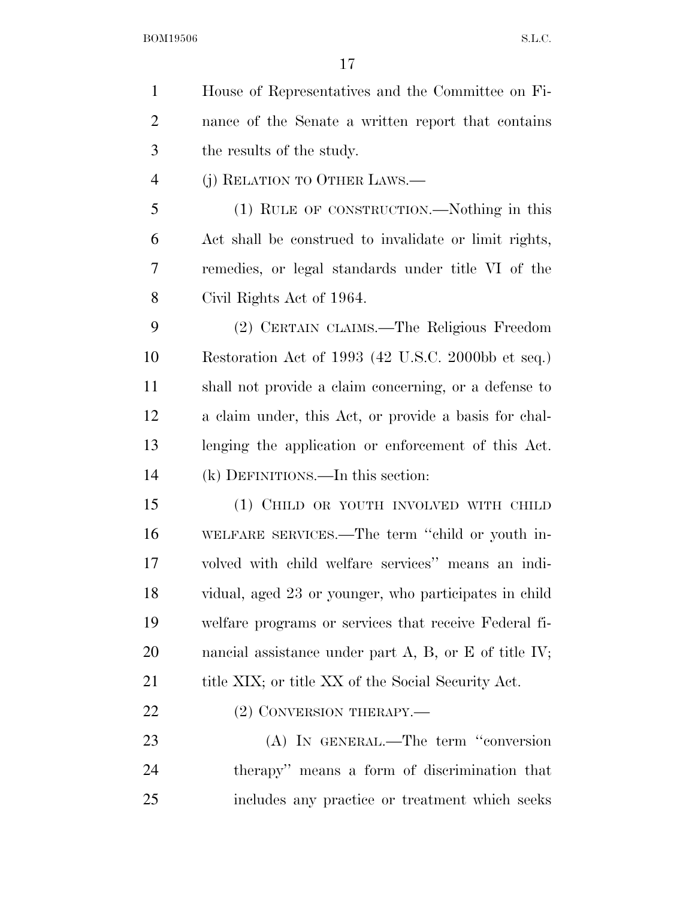House of Representatives and the Committee on Fi- nance of the Senate a written report that contains the results of the study. (j) RELATION TO OTHER LAWS.— (1) RULE OF CONSTRUCTION.—Nothing in this Act shall be construed to invalidate or limit rights, remedies, or legal standards under title VI of the Civil Rights Act of 1964. (2) CERTAIN CLAIMS.—The Religious Freedom Restoration Act of 1993 (42 U.S.C. 2000bb et seq.) shall not provide a claim concerning, or a defense to a claim under, this Act, or provide a basis for chal- lenging the application or enforcement of this Act. (k) DEFINITIONS.—In this section: (1) CHILD OR YOUTH INVOLVED WITH CHILD WELFARE SERVICES.—The term ''child or youth in- volved with child welfare services'' means an indi- vidual, aged 23 or younger, who participates in child welfare programs or services that receive Federal fi-20 nancial assistance under part A, B, or E of title IV; 21 title XIX; or title XX of the Social Security Act.

22 (2) CONVERSION THERAPY.—

 (A) IN GENERAL.—The term ''conversion therapy'' means a form of discrimination that includes any practice or treatment which seeks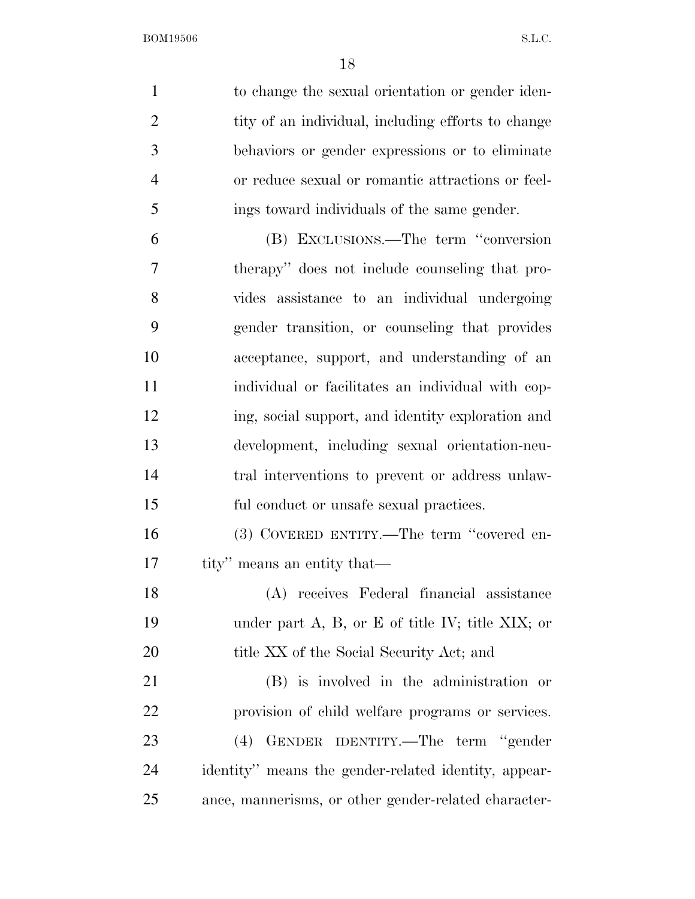| $\mathbf{1}$   | to change the sexual orientation or gender iden-         |
|----------------|----------------------------------------------------------|
| $\overline{2}$ | tity of an individual, including efforts to change       |
| 3              | behaviors or gender expressions or to eliminate          |
| $\overline{4}$ | or reduce sexual or romantic attractions or feel-        |
| 5              | ings toward individuals of the same gender.              |
| 6              | (B) EXCLUSIONS.—The term "conversion                     |
| 7              | therapy" does not include counseling that pro-           |
| 8              | vides assistance to an individual undergoing             |
| 9              | gender transition, or counseling that provides           |
| 10             | acceptance, support, and understanding of an             |
| 11             | individual or facilitates an individual with cop-        |
| 12             | ing, social support, and identity exploration and        |
| 13             | development, including sexual orientation-neu-           |
| 14             | tral interventions to prevent or address unlaw-          |
| 15             | ful conduct or unsafe sexual practices.                  |
| 16             | (3) COVERED ENTITY.—The term "covered en-                |
| 17             | tity" means an entity that—                              |
| 18             | (A) receives Federal financial assistance                |
| 19             | under part $A$ , $B$ , or $E$ of title IV; title XIX; or |
| 20             | title XX of the Social Security Act; and                 |
| 21             | (B) is involved in the administration or                 |
| 22             | provision of child welfare programs or services.         |
| 23             | GENDER IDENTITY.—The term "gender<br>(4)                 |
| 24             | identity" means the gender-related identity, appear-     |
| 25             | ance, mannerisms, or other gender-related character-     |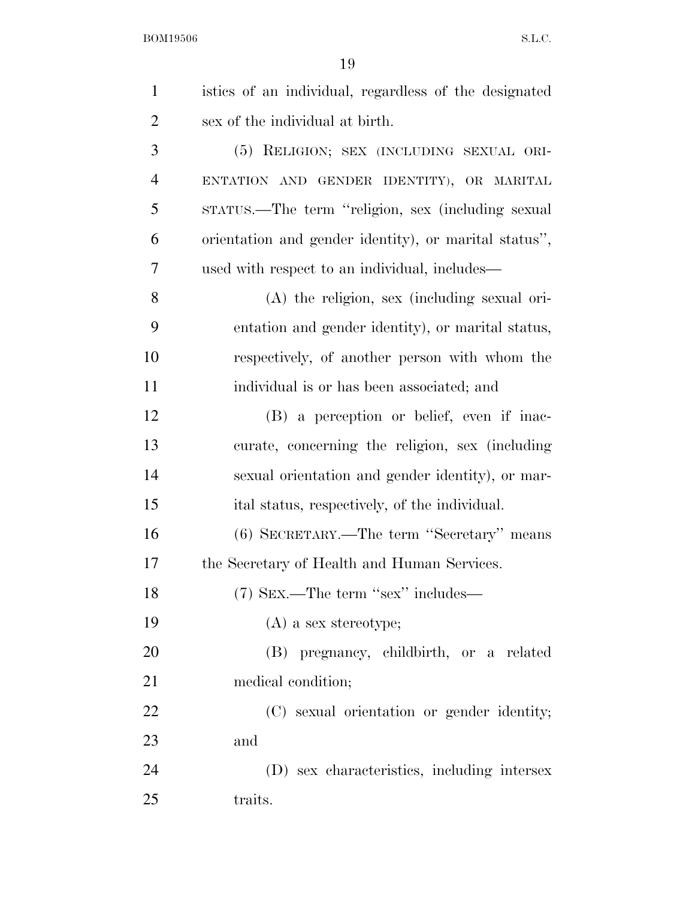| $\mathbf{1}$   | istics of an individual, regardless of the designated |
|----------------|-------------------------------------------------------|
| $\overline{2}$ | sex of the individual at birth.                       |
| 3              | (5) RELIGION; SEX (INCLUDING SEXUAL ORI-              |
| $\overline{4}$ | ENTATION AND GENDER IDENTITY), OR MARITAL             |
| 5              | stratus.—The term "religion, sex (including sexual    |
| 6              | orientation and gender identity), or marital status", |
| 7              | used with respect to an individual, includes—         |
| 8              | $(A)$ the religion, sex (including sexual ori-        |
| 9              | entation and gender identity), or marital status,     |
| 10             | respectively, of another person with whom the         |
| 11             | individual is or has been associated; and             |
| 12             | (B) a perception or belief, even if inac-             |
| 13             | curate, concerning the religion, sex (including       |
| 14             | sexual orientation and gender identity), or mar-      |
| 15             | ital status, respectively, of the individual.         |
| 16             | (6) SECRETARY.—The term "Secretary" means             |
| 17             | the Secretary of Health and Human Services.           |
| 18             | (7) SEX.—The term "sex" includes—                     |
| 19             | $(A)$ a sex stereotype;                               |
| 20             | (B) pregnancy, childbirth, or a related               |
| 21             | medical condition;                                    |
| 22             | (C) sexual orientation or gender identity;            |
| 23             | and                                                   |
| 24             | (D) sex characteristics, including intersex           |
| 25             | traits.                                               |